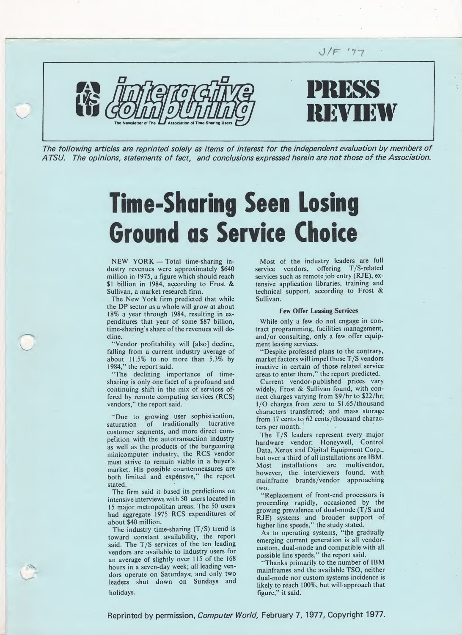

The following articles are reprinted solely as items of interest for the independent evaluation by members of A TSU. The opinions, statements of fact, and conclusions expressed herein are not those of the Association.

# Time-Sharing Seen Losing Ground as Service Choice

NEW YORK — Total time-sharing industry revenues were approximately \$640 million in 1975, a figure which should reach \$1 billion in 1984, according to Frost & Sullivan, a market research firm.

The New York firm predicted that while the DP sector as a whole will grow at about 18% a year through 1984, resulting in expenditures that year of some \$87 billion, time-sharing's share of the revenues will decline.

"Vendor profitability will [also] decline, falling from a current industry average of about 11.5% to no more than 5.3% by 1984,'' the report said.

"The declining importance of timesharing is only one facet of a profound and continuing shift in the mix of services offered by remote computing services (RCS) vendors," the report said.

"Due to growing user sophistication, saturation of traditionally lucrative customer segments, and more direct competition with the autotransaction industry as well as the products of the burgeoning minicomputer industry, the RCS vendor must strive to remain viable in a buyer's market. His possible countermeasures are both limited and expensive," the report stated.

The firm said it based its predictions on intensive interviews with 50 users located in 15 major metropolitan areas. The 50 users had aggregate 1975 RCS expenditures of about \$40 million.

The industry time-sharing (T/S) trend is toward constant availability, the report said. The T/S services of the ten leading vendors are available to industry users for an average of slightly over 115 of the 168 hours in a seven-day week; all leading vendors operate on Saturdays; and only two leaders shut down on Sundays and holidays.

Most of the industry leaders are full service vendors, offering T/S-related services such as remote job entry (RJE), extensive application libraries, training and technical support, according to Frost & Sullivan.

#### Few Offer Leasing Services

While only a few do not engage in contract programming, facilities management, and/or consulting, only a few offer equipment leasing services.

"Despite professed plans to the contrary, market factors will impel those T/S vendors inactive in certain of those related service areas to enter them," the report predicted.

Current vendor-published prices vary widely, Frost & Sullivan found, with connect charges varying from \$9/hr to \$22/hr;  $I/O$  charges from zero to  $$1.65/$ thousand characters transferred; and mass storage from 17 cents to 62 cents/thousand characters per month.

The T/S leaders represent every major hardware vendor: Honeywell, Control Data, Xerox and Digital Equipment Corp., but over a third of all installations are IBM. Most installations are multivendor, however, the interviewers found, with mainframe brands/vendor approaching two.

"Replacement of front-end processors is proceeding rapidly, occasioned by the growing prevalence of dual-mode (T/S and RJE) systems and broader support of higher line speeds," the study stated.

As to operating systems, "the gradually emerging current generation is all vendorcustom, dual-mode and compatible with all possible line speeds," the report said.

"Thanks primarily to the number of IBM mainframes and the available TSO, neither dual-mode nor custom systems incidence is likely to reach 100%, but will approach that figure," it said.

Reprinted by permission, *Computer World*, February 7, 1977, Copyright 1977.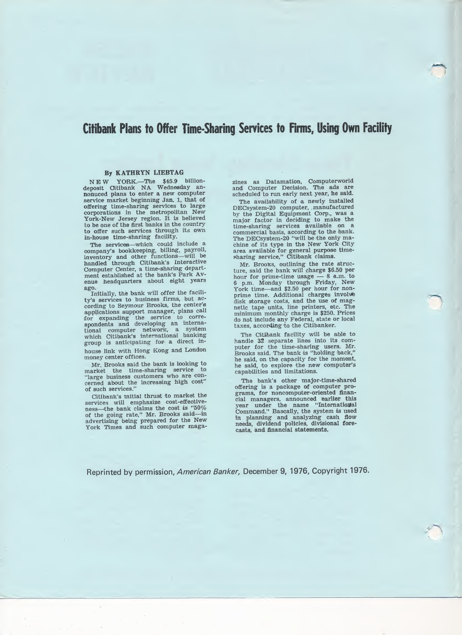### Citibank Plans to Offer Time-Sharing Services to Firms, Using Own Facility

### By KATHRYN LIEBTAG

NEW YORK.—The \$45.9 billion-deposit Citibank NA Wednesday an-nonuced plans to enter a new computer service market beginning Jan. 1, that of offering time-sharing services to large corporations in the metropolitan New York-New Jersey region. It is believed to be one of the first banks in the country to offer such services through its own in-house time-sharing facility.

The services—which could include a company's bookkeeping, billing, payroll, inventory and other functions—will be handled through Citibank's Interactive Computer Center, a time-sharing depart ment established at the bank's Park Avenue headquarters about eight years ago.

Initially, the bank will offer the facili ty's services to business firms, but according to Seymour Brooks, the center's applications support manager, plans call for expanding the service to correspondents and developing an international computer network, a system which Citibank's international banking group is anticipating for- a direct inhouse link with Hong Kong and London money center offices.

Mr. Brooks said the bank is looking to a sharing service to market the time-sharing service to "large business customers who are con cerned about the increasing high cost" of such services."

Citibank's initial thrust to market the services will emphasize cost-effectiveness—'the bank claims the cost is "50% of the going rate," Mr. Brooks said—in advertising being prepared for the New<br>York Times and such computer maga-

zines as Datamation, Computerworld and Computer Decision. The ads are scheduled to run early next year, he said.

The availability of a newly installed DECsystem-20 computer, manufactured by the Digital Equipment Corp., was a major factor in deciding to make the time-sharing services available on a commercial basis, according to the bank. The DECsystem-20 "will be the only ma chine of its type in the New York City area available for general purpose time sharing service," Citibank claims.

Mr. Brooks, outlining the rate structure, said the bank will charge \$6.50 per hour for prime-time usage — 8 a.m. to 6 p.m. Monday through Friday, New York time—and \$2.50 per hour for non-prime time. Additional charges involute disk storage costs, and the use of mag¬ netic tape units, line printers, etc. The minimum monthly charge is \$250. Prices do not include any Federal, state or local taxes, according to the Citibanker.

The Citibank facility will be able to handle 32 separate lines into its computer for the time-sharing users. Mr. Brooks said. The bank is "holding back," he said, on the capacity for the moment, he said, to explore the new computer's capabilities and limitations.

The bank's other major-time-shared offering is a package of computer pro¬ grams, for noncomputer-oriented finan cial managers, announced earlier this<br>year under the name "International Command." Rascally, the system is used in planning and analyzing cash flow needs, dividend policies, divisional forecasts, and financial statements.

Reprinted by permission, American Banker, December 9, 1976, Copyright 1976.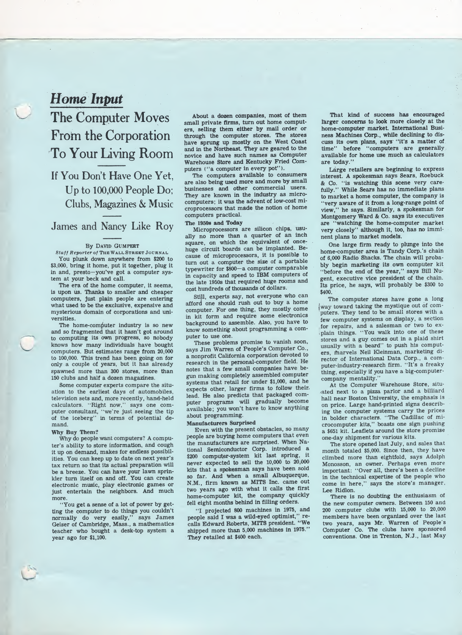### Home Input

# The Computer Moves From the Corporation To Your Living Room

If You Don't Have One Yet, Up to 100,000 People Do; Clubs, Magazines & Music

James and Nancy Like Roy

#### By David Gumpert

Staff Reporter of THE WALL STREET JOURNAL You plunk down anywhere from \$200 to \$3,000, bring it home, put it together, plug it in and, presto-you've got a computer system at your beck and call.

The era of the home computer, it seems, is upon us. Thanks to smaller and cheaper computers, just plain people are entering what used to be the exclusive, expensive and mysterious domain of corporations and universities.

The home-computer industry is so new and so fragmented that it hasn't got around to computing its own progress, so nobody knows how many individuals have bought computers. But estimates range from 20,000 to 100,000. This trend has been going on for only a couple of years, but it has already spawned more than 300 stores, more than 150 clubs and half a dozen magazines.

Some computer experts compare the situation to the earliest days of automobiles, television sets and, more recently, hand-held calculators. 'Right now," says one com puter consultant, "we're just seeing the tip of the iceberg" in terms of potential demand.

#### Why Buy Them?

Why do people want computers? A computer's ability to store information, and cough it up on demand, makes for endless possibilities. You can keep up to date on next year's tax return so that its actual preparation will be a breeze. You can have your lawn sprinkler turn itself on and off. You can create electronic music, play electronic games or just entertain the neighbors. And much more.

"You get a sense of a lot of power by getting the computer to do things you couldn't normally do very easily," says James Geiser of Cambridge, Mass., a mathematics teacher who bought a desk-top system a year ago for \$1,100.

About a dozen companies, most of them small private firms, turn out home computers, selling them either by mail order or through the computer stores. The stores have sprung up mostly on the West Coast and in the Northeast. They are geared to the novice and have such names as Computer Warehouse Store and Kentucky Fried Com puters ("a computer in every pot").

The computers available to consumers are also being used more and more by small businesses and other commercial users. They are known in the industry as microcomputers; it was the advent of low-cost mi croprocessors that made the notion of home computers practical.

### The 1950s and Today

Microprocessors are silicon chips, usually no more than a quarter of an inch square, on which the equivalent of oncehuge circuit boards can be implanted. Because of microprocessors, it is possible to turn out a computer the size of a portable typewriter for \$800-a computer comparable in capacity and speed to IBM computers of the late 1950s that required huge rooms and cost hundreds of thousands of dollars.

Still, experts say, not everyone who can afford one should rush out to buy a home computer. For one thing, they mostly come in kit form and require some electronics background to assemble. Also, you have to know something about programming a com puter to use one.

These problems promise to vanish soon, says Jim Warren of People's Computer Co., a nonprofit California corporation devoted to research in the personal-computer field. He notes that a few small companies have begun making completely assembled computer systems that retail for under \$1,000, and he expects other, larger firms to follow their, lead. He also predicts that packaged computer programs will gradually become available; you won't have to know anything about programming.

#### Manufacturers Surprised

Even with the present obstacles, so many people are buying home computers that even the manufacturers are surprised. When National Semiconductor Corp. introduced a \$200 computer-system kit last spring, it never expected to sell the 10,000 to 20,000 kits that a spokesman says have been sold so far. And When a small Albuquerque, N.M., firm known as MITS Inc. came out two years ago with what it calls the first home-computer kit, the company quickly fell eight months behind in filling orders.

"I projected 800 machines in 1975, and people said I was a wild-eyed optimist," recalls Edward Roberts, MITS president. "We shipped more than 5,000 machines in 1975." They retailed at \$400 each.

That kind of success has encouraged larger concerns to look more closely at the home-computer market. International Business Machines Corp., while declining to discuss its own plans, says "it's a matter of time" before "computers are generally available for home use much as calculators are today."

Large retailers are beginning to express interest. A spokesman says Sears, Roebuck & Co. "is watching this scene very carefully." While Sears has no immediate plans to market a home computer, the company is "very aware of it from a long-range point of view," he says. Similarly, a spokesman for Montgomery Ward & Co. says its executives are "watching the home-computer market very closely" although it, too, has no imminent plans to market models.

One large firm ready to plunge into the home-computer area is Tandy Corp.'s chain of 6,000 Radio Shacks. The chain will probably begin marketing its own computer kit "before the end of the year," says Bill Nugent, executive vice president of the chain. Its price, he says, will probably be \$300 to \$400.

The computer stores have gone a long |way toward taking the mystique out of com puters. They tend to be small stores with a few computer systems on display, a section for repairs, and a salesman or two to explain things. "You walk into one of these stores and a guy comes out in a plaid shirt usually with a beard" to push his computers, marvels Neil Kleinman, marketing director of International Data Corp., a computer-industry-research firm. "It's a freaky thing, especially if you have a big-computer-

company mentality." At the Computer Warehouse Store, situ ated next to a pizza parlor and a billiard hall near Boston University, the emphasis is on price. Large hand-printed signs describing the computer systems carry the prices in bolder characters. "The Cadillac of microcomputer kits," boasts one sign pushing a \$651 kit. Leaflets around the store promise one-day shipment for various kits.

The store opened last July, and sales that month totaled \$5,000. Since then, they have climbed more than eightfold, says Adolph Monosson, an owner. Perhaps even more important: "Over all, there's been a decline in the technical expertise of the people who come in here," says the store's manager. Lee Ridlon.

There is no doubting the enthusiasm of the new computer owners. Between 150 and 200 computer clubs with 15,000 to 20,000 members have been organized over the last two years, says Mr. Warren of People's Computer Co. The clubs have sponsored conventions. One in Trenton, N.J., last May